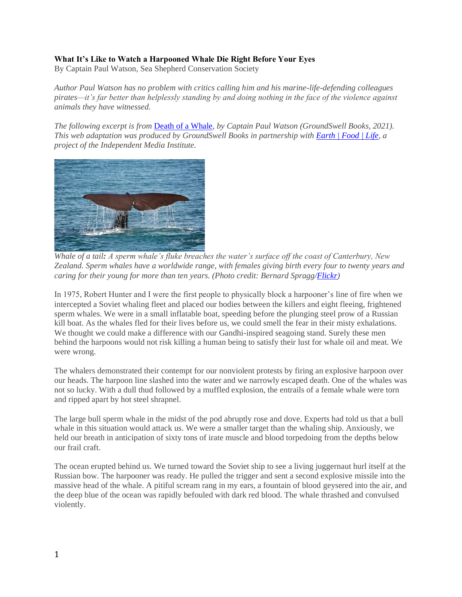## **[What It's Like to Watch a Harpooned Whale Die Right Before Your Eyes](https://go.ind.media/e/546932/efl-tat-20211019-/lls4kv/928702115?h=8mHY7sizyToE_LqD4Ev7o5vfBiHv7Eic04ic6l8s3o8)**

By Captain Paul Watson, Sea Shepherd Conservation Society

*Author Paul Watson has no problem with critics calling him and his marine-life-defending colleagues pirates—it's far better than helplessly standing by and doing nothing in the face of the violence against animals they have witnessed.*

*The following excerpt is from* [Death of a Whale](https://go.ind.media/e/546932/content-death-whale/lls4l4/928702115?h=8mHY7sizyToE_LqD4Ev7o5vfBiHv7Eic04ic6l8s3o8)*, by Captain Paul Watson (GroundSwell Books, 2021). This web adaptation was produced by GroundSwell Books in partnership with [Earth | Food | Life,](https://go.ind.media/e/546932/earth-food-life-/lls4l6/928702115?h=8mHY7sizyToE_LqD4Ev7o5vfBiHv7Eic04ic6l8s3o8) a project of the Independent Media Institute.*



*Whale of a tail: A sperm whale's fluke breaches the water's surface off the coast of Canterbury, New Zealand. Sperm whales have a worldwide range, with females giving birth every four to twenty years and caring for their young for more than ten years. (Photo credit: Bernard Spragg[/Flickr\)](https://go.ind.media/e/546932/EmN3-dKMXwZ-hKXf6-hKXfR-6cF2wt/lls4kx/928702115?h=8mHY7sizyToE_LqD4Ev7o5vfBiHv7Eic04ic6l8s3o8)*

In 1975, Robert Hunter and I were the first people to physically block a harpooner's line of fire when we intercepted a Soviet whaling fleet and placed our bodies between the killers and eight fleeing, frightened sperm whales. We were in a small inflatable boat, speeding before the plunging steel prow of a Russian kill boat. As the whales fled for their lives before us, we could smell the fear in their misty exhalations. We thought we could make a difference with our Gandhi-inspired seagoing stand. Surely these men behind the harpoons would not risk killing a human being to satisfy their lust for whale oil and meat. We were wrong.

The whalers demonstrated their contempt for our nonviolent protests by firing an explosive harpoon over our heads. The harpoon line slashed into the water and we narrowly escaped death. One of the whales was not so lucky. With a dull thud followed by a muffled explosion, the entrails of a female whale were torn and ripped apart by hot steel shrapnel.

The large bull sperm whale in the midst of the pod abruptly rose and dove. Experts had told us that a bull whale in this situation would attack us. We were a smaller target than the whaling ship. Anxiously, we held our breath in anticipation of sixty tons of irate muscle and blood torpedoing from the depths below our frail craft.

The ocean erupted behind us. We turned toward the Soviet ship to see a living juggernaut hurl itself at the Russian bow. The harpooner was ready. He pulled the trigger and sent a second explosive missile into the massive head of the whale. A pitiful scream rang in my ears, a fountain of blood geysered into the air, and the deep blue of the ocean was rapidly befouled with dark red blood. The whale thrashed and convulsed violently.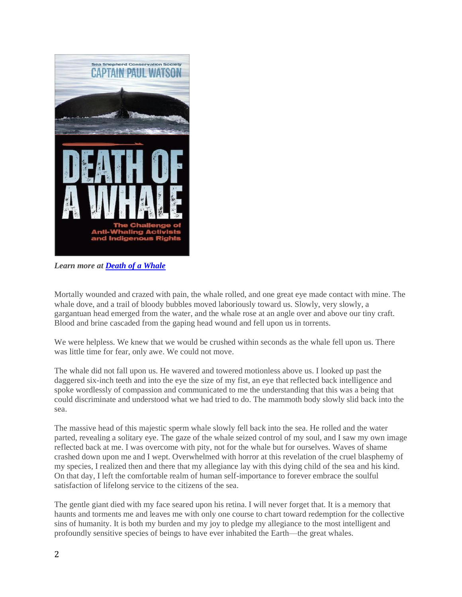

*Learn more at [Death of a Whale](https://www.all-creatures.org/book/r-death-of-whale.html)*

Mortally wounded and crazed with pain, the whale rolled, and one great eye made contact with mine. The whale dove, and a trail of bloody bubbles moved laboriously toward us. Slowly, very slowly, a gargantuan head emerged from the water, and the whale rose at an angle over and above our tiny craft. Blood and brine cascaded from the gaping head wound and fell upon us in torrents.

We were helpless. We knew that we would be crushed within seconds as the whale fell upon us. There was little time for fear, only awe. We could not move.

The whale did not fall upon us. He wavered and towered motionless above us. I looked up past the daggered six-inch teeth and into the eye the size of my fist, an eye that reflected back intelligence and spoke wordlessly of compassion and communicated to me the understanding that this was a being that could discriminate and understood what we had tried to do. The mammoth body slowly slid back into the sea.

The massive head of this majestic sperm whale slowly fell back into the sea. He rolled and the water parted, revealing a solitary eye. The gaze of the whale seized control of my soul, and I saw my own image reflected back at me. I was overcome with pity, not for the whale but for ourselves. Waves of shame crashed down upon me and I wept. Overwhelmed with horror at this revelation of the cruel blasphemy of my species, I realized then and there that my allegiance lay with this dying child of the sea and his kind. On that day, I left the comfortable realm of human self-importance to forever embrace the soulful satisfaction of lifelong service to the citizens of the sea.

The gentle giant died with my face seared upon his retina. I will never forget that. It is a memory that haunts and torments me and leaves me with only one course to chart toward redemption for the collective sins of humanity. It is both my burden and my joy to pledge my allegiance to the most intelligent and profoundly sensitive species of beings to have ever inhabited the Earth––the great whales.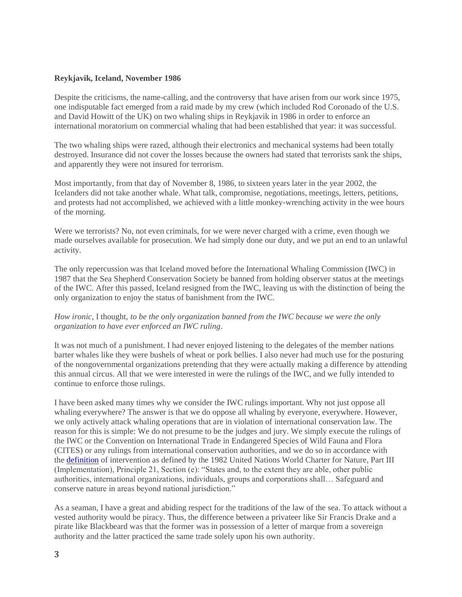## **Reykjavik, Iceland, November 1986**

Despite the criticisms, the name-calling, and the controversy that have arisen from our work since 1975, one indisputable fact emerged from a raid made by my crew (which included Rod Coronado of the U.S. and David Howitt of the UK) on two whaling ships in Reykjavik in 1986 in order to enforce an international moratorium on commercial whaling that had been established that year: it was successful.

The two whaling ships were razed, although their electronics and mechanical systems had been totally destroyed. Insurance did not cover the losses because the owners had stated that terrorists sank the ships, and apparently they were not insured for terrorism.

Most importantly, from that day of November 8, 1986, to sixteen years later in the year 2002, the Icelanders did not take another whale. What talk, compromise, negotiations, meetings, letters, petitions, and protests had not accomplished, we achieved with a little monkey-wrenching activity in the wee hours of the morning.

Were we terrorists? No, not even criminals, for we were never charged with a crime, even though we made ourselves available for prosecution. We had simply done our duty, and we put an end to an unlawful activity.

The only repercussion was that Iceland moved before the International Whaling Commission (IWC) in 1987 that the Sea Shepherd Conservation Society be banned from holding observer status at the meetings of the IWC. After this passed, Iceland resigned from the IWC, leaving us with the distinction of being the only organization to enjoy the status of banishment from the IWC.

## *How ironic*, I thought, *to be the only organization banned from the IWC because we were the only organization to have ever enforced an IWC ruling*.

It was not much of a punishment. I had never enjoyed listening to the delegates of the member nations barter whales like they were bushels of wheat or pork bellies. I also never had much use for the posturing of the nongovernmental organizations pretending that they were actually making a difference by attending this annual circus. All that we were interested in were the rulings of the IWC, and we fully intended to continue to enforce those rulings.

I have been asked many times why we consider the IWC rulings important. Why not just oppose all whaling everywhere? The answer is that we do oppose all whaling by everyone, everywhere. However, we only actively attack whaling operations that are in violation of international conservation law. The reason for this is simple: We do not presume to be the judges and jury. We simply execute the rulings of the IWC or the Convention on International Trade in Endangered Species of Wild Fauna and Flora (CITES) or any rulings from international conservation authorities, and we do so in accordance with the [definition](https://go.ind.media/e/546932/record-39295/lls4l8/928702115?h=8mHY7sizyToE_LqD4Ev7o5vfBiHv7Eic04ic6l8s3o8) of intervention as defined by the 1982 United Nations World Charter for Nature, Part III (Implementation), Principle 21, Section (e): "States and, to the extent they are able, other public authorities, international organizations, individuals, groups and corporations shall… Safeguard and conserve nature in areas beyond national jurisdiction."

As a seaman, I have a great and abiding respect for the traditions of the law of the sea. To attack without a vested authority would be piracy. Thus, the difference between a privateer like Sir Francis Drake and a pirate like Blackbeard was that the former was in possession of a letter of marque from a sovereign authority and the latter practiced the same trade solely upon his own authority.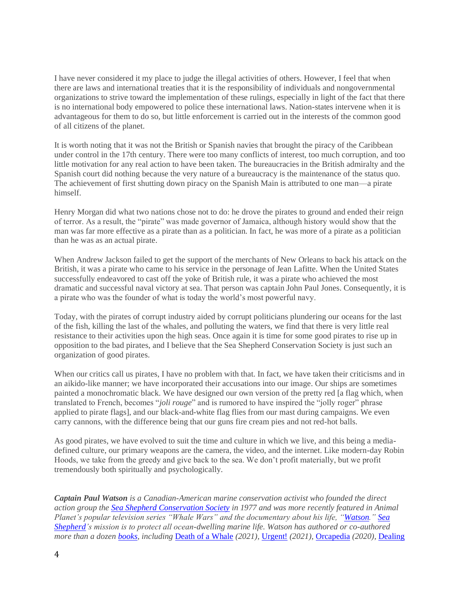I have never considered it my place to judge the illegal activities of others. However, I feel that when there are laws and international treaties that it is the responsibility of individuals and nongovernmental organizations to strive toward the implementation of these rulings, especially in light of the fact that there is no international body empowered to police these international laws. Nation-states intervene when it is advantageous for them to do so, but little enforcement is carried out in the interests of the common good of all citizens of the planet.

It is worth noting that it was not the British or Spanish navies that brought the piracy of the Caribbean under control in the 17th century. There were too many conflicts of interest, too much corruption, and too little motivation for any real action to have been taken. The bureaucracies in the British admiralty and the Spanish court did nothing because the very nature of a bureaucracy is the maintenance of the status quo. The achievement of first shutting down piracy on the Spanish Main is attributed to one man––a pirate himself.

Henry Morgan did what two nations chose not to do: he drove the pirates to ground and ended their reign of terror. As a result, the "pirate" was made governor of Jamaica, although history would show that the man was far more effective as a pirate than as a politician. In fact, he was more of a pirate as a politician than he was as an actual pirate.

When Andrew Jackson failed to get the support of the merchants of New Orleans to back his attack on the British, it was a pirate who came to his service in the personage of Jean Lafitte. When the United States successfully endeavored to cast off the yoke of British rule, it was a pirate who achieved the most dramatic and successful naval victory at sea. That person was captain John Paul Jones. Consequently, it is a pirate who was the founder of what is today the world's most powerful navy.

Today, with the pirates of corrupt industry aided by corrupt politicians plundering our oceans for the last of the fish, killing the last of the whales, and polluting the waters, we find that there is very little real resistance to their activities upon the high seas. Once again it is time for some good pirates to rise up in opposition to the bad pirates, and I believe that the Sea Shepherd Conservation Society is just such an organization of good pirates.

When our critics call us pirates, I have no problem with that. In fact, we have taken their criticisms and in an aikido-like manner; we have incorporated their accusations into our image. Our ships are sometimes painted a monochromatic black. We have designed our own version of the pretty red [a flag which, when translated to French, becomes "*joli rouge*" and is rumored to have inspired the "jolly roger" phrase applied to pirate flags], and our black-and-white flag flies from our mast during campaigns. We even carry cannons, with the difference being that our guns fire cream pies and not red-hot balls.

As good pirates, we have evolved to suit the time and culture in which we live, and this being a mediadefined culture, our primary weapons are the camera, the video, and the internet. Like modern-day Robin Hoods, we take from the greedy and give back to the sea. We don't profit materially, but we profit tremendously both spiritually and psychologically.

*Captain Paul Watson is a Canadian-American marine conservation activist who founded the direct action group the [Sea Shepherd Conservation Society](https://go.ind.media/e/546932/2021-10-19/lls4lb/928702115?h=8mHY7sizyToE_LqD4Ev7o5vfBiHv7Eic04ic6l8s3o8) in 1977 and was more recently featured in Animal Planet's popular television series "Whale Wars" and the documentary about his life, ["Watson.](https://go.ind.media/e/546932/1KRQyVRiznc/lls4ld/928702115?h=8mHY7sizyToE_LqD4Ev7o5vfBiHv7Eic04ic6l8s3o8)" [Sea](https://go.ind.media/e/546932/our-story-/lls4lg/928702115?h=8mHY7sizyToE_LqD4Ev7o5vfBiHv7Eic04ic6l8s3o8)  [Shepherd'](https://go.ind.media/e/546932/our-story-/lls4lg/928702115?h=8mHY7sizyToE_LqD4Ev7o5vfBiHv7Eic04ic6l8s3o8)s mission is to protect all ocean-dwelling marine life. Watson has authored or co-authored more than a dozen [books,](https://go.ind.media/e/546932/ions-captain-paul-watson-books/lls4lj/928702115?h=8mHY7sizyToE_LqD4Ev7o5vfBiHv7Eic04ic6l8s3o8) including* [Death of a Whale](https://go.ind.media/e/546932/content-death-whale/lls4l4/928702115?h=8mHY7sizyToE_LqD4Ev7o5vfBiHv7Eic04ic6l8s3o8) *(2021),* [Urgent!](https://go.ind.media/e/546932/content-urgent/lls4nq/928702115?h=8mHY7sizyToE_LqD4Ev7o5vfBiHv7Eic04ic6l8s3o8) *(2021),* [Orcapedia](https://go.ind.media/e/546932/cean-to-survive-climate-change/lls4ll/928702115?h=8mHY7sizyToE_LqD4Ev7o5vfBiHv7Eic04ic6l8s3o8) *(2020),* [Dealing](https://go.ind.media/e/546932/with-climate-change-and-stress/lls4ln/928702115?h=8mHY7sizyToE_LqD4Ev7o5vfBiHv7Eic04ic6l8s3o8)